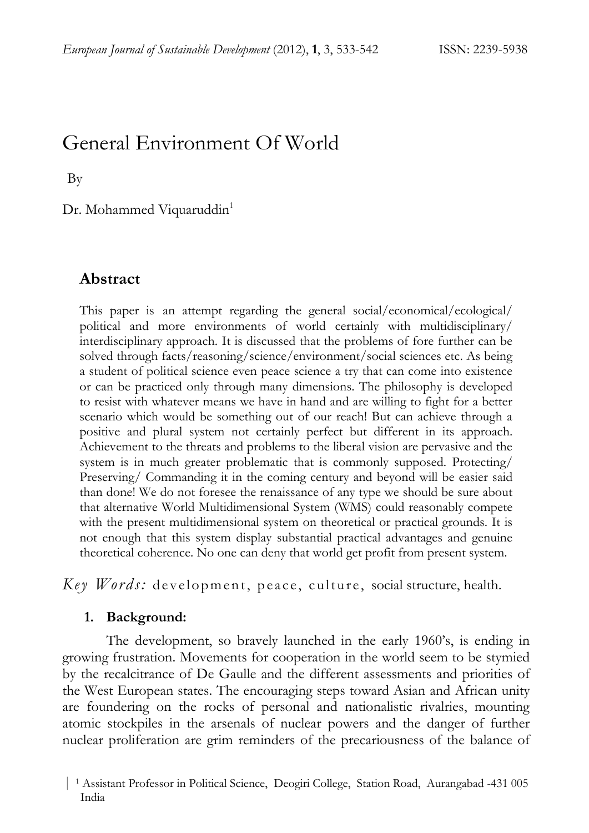# General Environment Of World

By

Dr. Mohammed Viquaruddin<sup>1</sup>

### **Abstract**

This paper is an attempt regarding the general social/economical/ecological/ political and more environments of world certainly with multidisciplinary/ interdisciplinary approach. It is discussed that the problems of fore further can be solved through facts/reasoning/science/environment/social sciences etc. As being a student of political science even peace science a try that can come into existence or can be practiced only through many dimensions. The philosophy is developed to resist with whatever means we have in hand and are willing to fight for a better scenario which would be something out of our reach! But can achieve through a positive and plural system not certainly perfect but different in its approach. Achievement to the threats and problems to the liberal vision are pervasive and the system is in much greater problematic that is commonly supposed. Protecting/ Preserving/ Commanding it in the coming century and beyond will be easier said than done! We do not foresee the renaissance of any type we should be sure about that alternative World Multidimensional System (WMS) could reasonably compete with the present multidimensional system on theoretical or practical grounds. It is not enough that this system display substantial practical advantages and genuine theoretical coherence. No one can deny that world get profit from present system.

*Key Words:* development, peace, culture, social structure, health.

#### **1. Background:**

The development, so bravely launched in the early 1960's, is ending in growing frustration. Movements for cooperation in the world seem to be stymied by the recalcitrance of De Gaulle and the different assessments and priorities of the West European states. The encouraging steps toward Asian and African unity are foundering on the rocks of personal and nationalistic rivalries, mounting atomic stockpiles in the arsenals of nuclear powers and the danger of further nuclear proliferation are grim reminders of the precariousness of the balance of

 <sup>|</sup> 1 Assistant Professor in Political Science, Deogiri College, Station Road, Aurangabad -431 005 1 India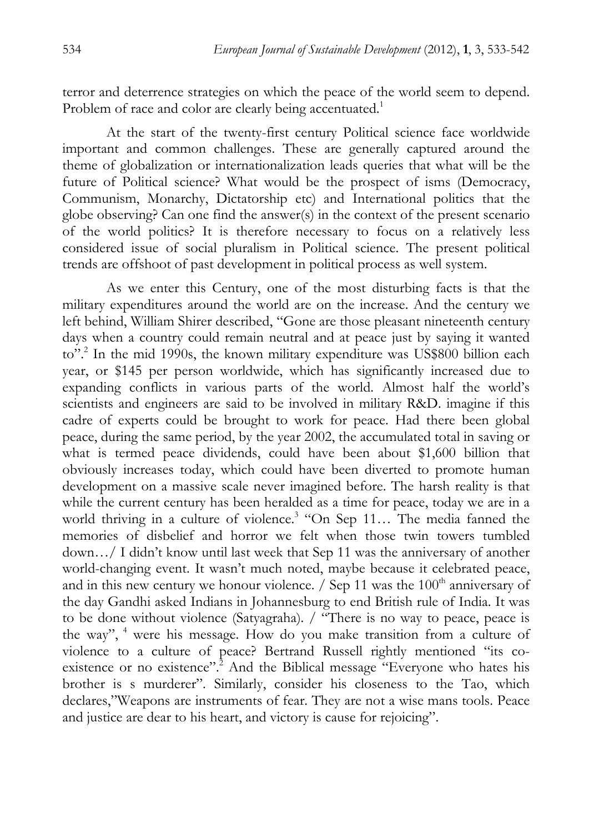terror and deterrence strategies on which the peace of the world seem to depend. Problem of race and color are clearly being accentuated.<sup>1</sup>

At the start of the twenty-first century Political science face worldwide important and common challenges. These are generally captured around the theme of globalization or internationalization leads queries that what will be the future of Political science? What would be the prospect of isms (Democracy, Communism, Monarchy, Dictatorship etc) and International politics that the globe observing? Can one find the answer(s) in the context of the present scenario of the world politics? It is therefore necessary to focus on a relatively less considered issue of social pluralism in Political science. The present political trends are offshoot of past development in political process as well system.

As we enter this Century, one of the most disturbing facts is that the military expenditures around the world are on the increase. And the century we left behind, William Shirer described, "Gone are those pleasant nineteenth century days when a country could remain neutral and at peace just by saying it wanted to".<sup>2</sup> In the mid 1990s, the known military expenditure was US\$800 billion each year, or \$145 per person worldwide, which has significantly increased due to expanding conflicts in various parts of the world. Almost half the world's scientists and engineers are said to be involved in military R&D. imagine if this cadre of experts could be brought to work for peace. Had there been global peace, during the same period, by the year 2002, the accumulated total in saving or what is termed peace dividends, could have been about \$1,600 billion that obviously increases today, which could have been diverted to promote human development on a massive scale never imagined before. The harsh reality is that while the current century has been heralded as a time for peace, today we are in a world thriving in a culture of violence.<sup>3</sup> "On Sep 11... The media fanned the memories of disbelief and horror we felt when those twin towers tumbled down…/ I didn't know until last week that Sep 11 was the anniversary of another world-changing event. It wasn't much noted, maybe because it celebrated peace, and in this new century we honour violence.  $/$  Sep 11 was the 100<sup>th</sup> anniversary of the day Gandhi asked Indians in Johannesburg to end British rule of India. It was to be done without violence (Satyagraha). / "There is no way to peace, peace is the way",  $4$  were his message. How do you make transition from a culture of violence to a culture of peace? Bertrand Russell rightly mentioned "its coexistence or no existence".<sup>2</sup> And the Biblical message "Everyone who hates his brother is s murderer". Similarly, consider his closeness to the Tao, which declares,"Weapons are instruments of fear. They are not a wise mans tools. Peace and justice are dear to his heart, and victory is cause for rejoicing".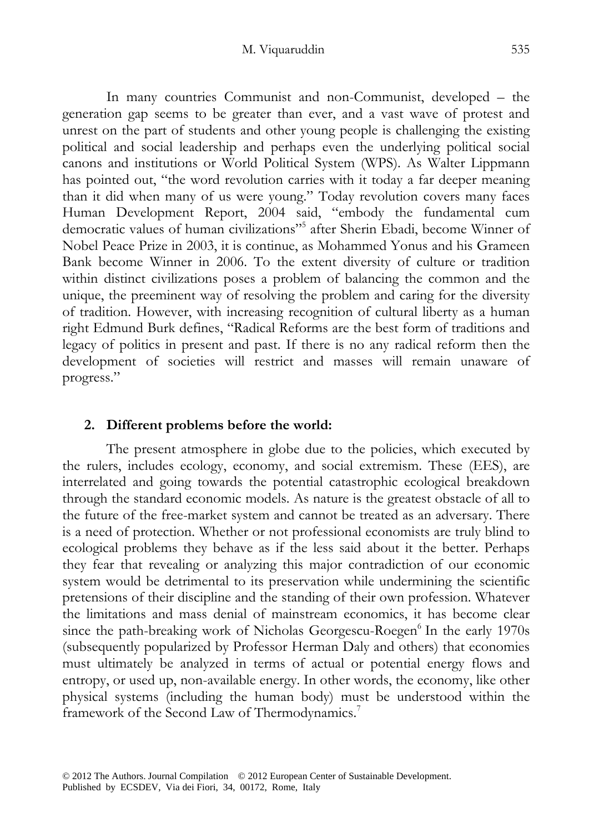#### M. Viquaruddin 535

In many countries Communist and non-Communist, developed – the generation gap seems to be greater than ever, and a vast wave of protest and unrest on the part of students and other young people is challenging the existing political and social leadership and perhaps even the underlying political social canons and institutions or World Political System (WPS). As Walter Lippmann has pointed out, "the word revolution carries with it today a far deeper meaning than it did when many of us were young." Today revolution covers many faces Human Development Report, 2004 said, "embody the fundamental cum democratic values of human civilizations"<sup>5</sup> after Sherin Ebadi, become Winner of Nobel Peace Prize in 2003, it is continue, as Mohammed Yonus and his Grameen Bank become Winner in 2006. To the extent diversity of culture or tradition within distinct civilizations poses a problem of balancing the common and the unique, the preeminent way of resolving the problem and caring for the diversity of tradition. However, with increasing recognition of cultural liberty as a human right Edmund Burk defines, "Radical Reforms are the best form of traditions and legacy of politics in present and past. If there is no any radical reform then the development of societies will restrict and masses will remain unaware of progress."

## **2. Different problems before the world:**

The present atmosphere in globe due to the policies, which executed by the rulers, includes ecology, economy, and social extremism. These (EES), are interrelated and going towards the potential catastrophic ecological breakdown through the standard economic models. As nature is the greatest obstacle of all to the future of the free-market system and cannot be treated as an adversary. There is a need of protection. Whether or not professional economists are truly blind to ecological problems they behave as if the less said about it the better. Perhaps they fear that revealing or analyzing this major contradiction of our economic system would be detrimental to its preservation while undermining the scientific pretensions of their discipline and the standing of their own profession. Whatever the limitations and mass denial of mainstream economics, it has become clear since the path-breaking work of Nicholas Georgescu-Roegen $^6$  In the early 1970s (subsequently popularized by Professor Herman Daly and others) that economies must ultimately be analyzed in terms of actual or potential energy flows and entropy, or used up, non-available energy. In other words, the economy, like other physical systems (including the human body) must be understood within the framework of the Second Law of Thermodynamics.<sup>7</sup>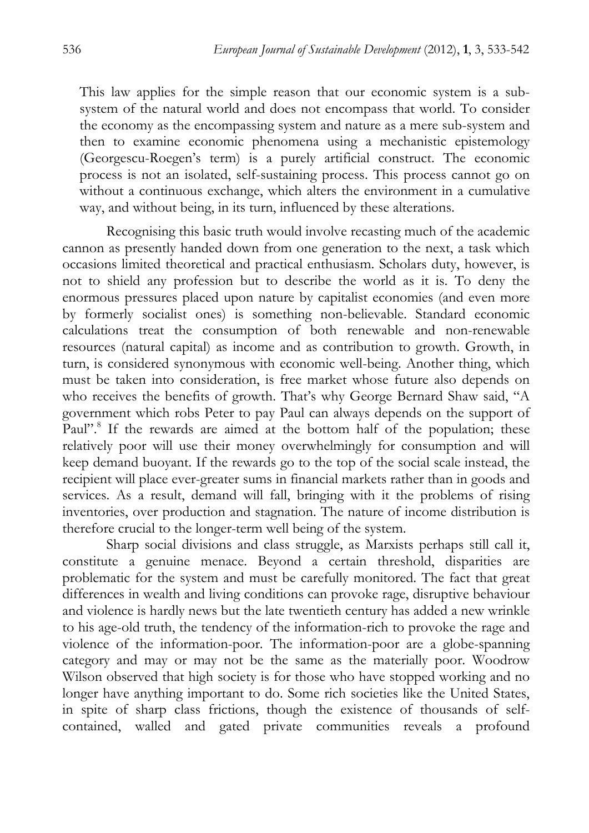This law applies for the simple reason that our economic system is a subsystem of the natural world and does not encompass that world. To consider the economy as the encompassing system and nature as a mere sub-system and then to examine economic phenomena using a mechanistic epistemology (Georgescu-Roegen's term) is a purely artificial construct. The economic process is not an isolated, self-sustaining process. This process cannot go on without a continuous exchange, which alters the environment in a cumulative way, and without being, in its turn, influenced by these alterations.

Recognising this basic truth would involve recasting much of the academic cannon as presently handed down from one generation to the next, a task which occasions limited theoretical and practical enthusiasm. Scholars duty, however, is not to shield any profession but to describe the world as it is. To deny the enormous pressures placed upon nature by capitalist economies (and even more by formerly socialist ones) is something non-believable. Standard economic calculations treat the consumption of both renewable and non-renewable resources (natural capital) as income and as contribution to growth. Growth, in turn, is considered synonymous with economic well-being. Another thing, which must be taken into consideration, is free market whose future also depends on who receives the benefits of growth. That's why George Bernard Shaw said, "A government which robs Peter to pay Paul can always depends on the support of Paul".<sup>8</sup> If the rewards are aimed at the bottom half of the population; these relatively poor will use their money overwhelmingly for consumption and will keep demand buoyant. If the rewards go to the top of the social scale instead, the recipient will place ever-greater sums in financial markets rather than in goods and services. As a result, demand will fall, bringing with it the problems of rising inventories, over production and stagnation. The nature of income distribution is therefore crucial to the longer-term well being of the system.

Sharp social divisions and class struggle, as Marxists perhaps still call it, constitute a genuine menace. Beyond a certain threshold, disparities are problematic for the system and must be carefully monitored. The fact that great differences in wealth and living conditions can provoke rage, disruptive behaviour and violence is hardly news but the late twentieth century has added a new wrinkle to his age-old truth, the tendency of the information-rich to provoke the rage and violence of the information-poor. The information-poor are a globe-spanning category and may or may not be the same as the materially poor. Woodrow Wilson observed that high society is for those who have stopped working and no longer have anything important to do. Some rich societies like the United States, in spite of sharp class frictions, though the existence of thousands of selfcontained, walled and gated private communities reveals a profound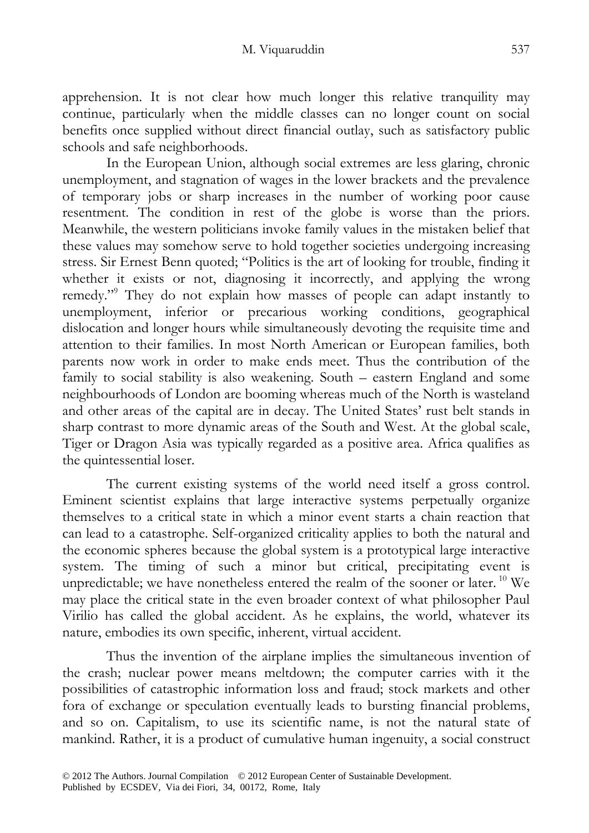apprehension. It is not clear how much longer this relative tranquility may continue, particularly when the middle classes can no longer count on social benefits once supplied without direct financial outlay, such as satisfactory public schools and safe neighborhoods.

In the European Union, although social extremes are less glaring, chronic unemployment, and stagnation of wages in the lower brackets and the prevalence of temporary jobs or sharp increases in the number of working poor cause resentment. The condition in rest of the globe is worse than the priors. Meanwhile, the western politicians invoke family values in the mistaken belief that these values may somehow serve to hold together societies undergoing increasing stress. Sir Ernest Benn quoted; "Politics is the art of looking for trouble, finding it whether it exists or not, diagnosing it incorrectly, and applying the wrong remedy."<sup>9</sup> They do not explain how masses of people can adapt instantly to unemployment, inferior or precarious working conditions, geographical dislocation and longer hours while simultaneously devoting the requisite time and attention to their families. In most North American or European families, both parents now work in order to make ends meet. Thus the contribution of the family to social stability is also weakening. South – eastern England and some neighbourhoods of London are booming whereas much of the North is wasteland and other areas of the capital are in decay. The United States' rust belt stands in sharp contrast to more dynamic areas of the South and West. At the global scale, Tiger or Dragon Asia was typically regarded as a positive area. Africa qualifies as the quintessential loser.

The current existing systems of the world need itself a gross control. Eminent scientist explains that large interactive systems perpetually organize themselves to a critical state in which a minor event starts a chain reaction that can lead to a catastrophe. Self-organized criticality applies to both the natural and the economic spheres because the global system is a prototypical large interactive system. The timing of such a minor but critical, precipitating event is unpredictable; we have nonetheless entered the realm of the sooner or later.<sup>10</sup> We may place the critical state in the even broader context of what philosopher Paul Virilio has called the global accident. As he explains, the world, whatever its nature, embodies its own specific, inherent, virtual accident.

Thus the invention of the airplane implies the simultaneous invention of the crash; nuclear power means meltdown; the computer carries with it the possibilities of catastrophic information loss and fraud; stock markets and other fora of exchange or speculation eventually leads to bursting financial problems, and so on. Capitalism, to use its scientific name, is not the natural state of mankind. Rather, it is a product of cumulative human ingenuity, a social construct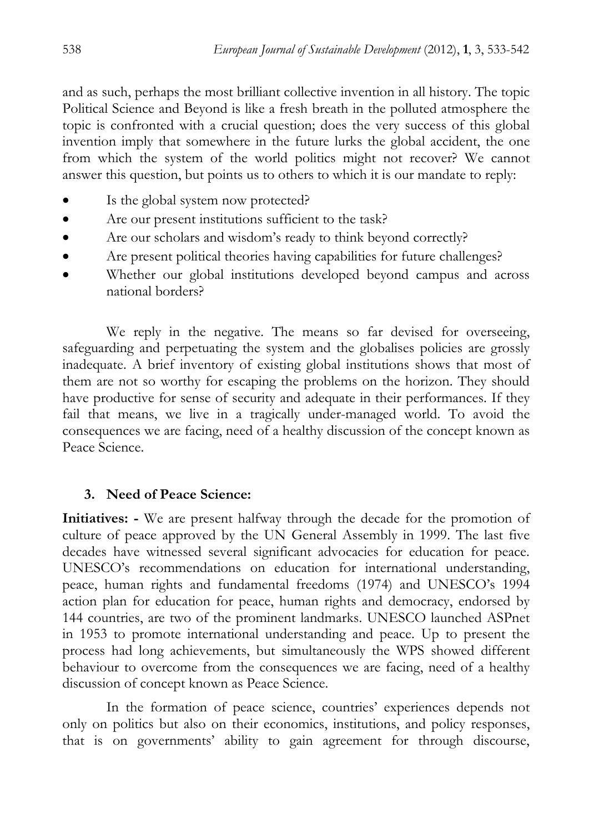and as such, perhaps the most brilliant collective invention in all history. The topic Political Science and Beyond is like a fresh breath in the polluted atmosphere the topic is confronted with a crucial question; does the very success of this global invention imply that somewhere in the future lurks the global accident, the one from which the system of the world politics might not recover? We cannot answer this question, but points us to others to which it is our mandate to reply:

- Is the global system now protected?
- Are our present institutions sufficient to the task?
- Are our scholars and wisdom's ready to think beyond correctly?
- Are present political theories having capabilities for future challenges?
- Whether our global institutions developed beyond campus and across national borders?

We reply in the negative. The means so far devised for overseeing, safeguarding and perpetuating the system and the globalises policies are grossly inadequate. A brief inventory of existing global institutions shows that most of them are not so worthy for escaping the problems on the horizon. They should have productive for sense of security and adequate in their performances. If they fail that means, we live in a tragically under-managed world. To avoid the consequences we are facing, need of a healthy discussion of the concept known as Peace Science.

# **3. Need of Peace Science:**

**Initiatives:** - We are present halfway through the decade for the promotion of culture of peace approved by the UN General Assembly in 1999. The last five decades have witnessed several significant advocacies for education for peace. UNESCO's recommendations on education for international understanding, peace, human rights and fundamental freedoms (1974) and UNESCO's 1994 action plan for education for peace, human rights and democracy, endorsed by 144 countries, are two of the prominent landmarks. UNESCO launched ASPnet in 1953 to promote international understanding and peace. Up to present the process had long achievements, but simultaneously the WPS showed different behaviour to overcome from the consequences we are facing, need of a healthy discussion of concept known as Peace Science.

In the formation of peace science, countries' experiences depends not only on politics but also on their economics, institutions, and policy responses, that is on governments' ability to gain agreement for through discourse,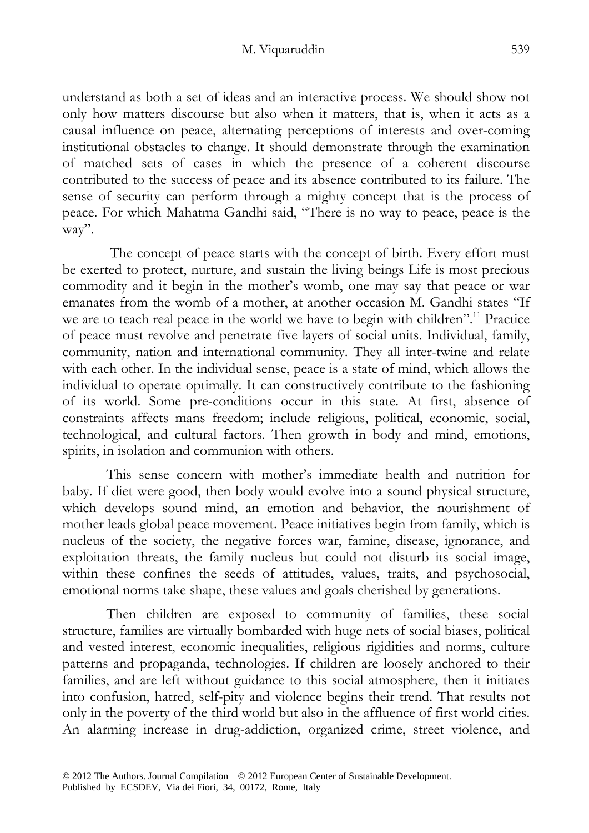understand as both a set of ideas and an interactive process. We should show not only how matters discourse but also when it matters, that is, when it acts as a causal influence on peace, alternating perceptions of interests and over-coming institutional obstacles to change. It should demonstrate through the examination of matched sets of cases in which the presence of a coherent discourse contributed to the success of peace and its absence contributed to its failure. The sense of security can perform through a mighty concept that is the process of peace. For which Mahatma Gandhi said, "There is no way to peace, peace is the way".

 The concept of peace starts with the concept of birth. Every effort must be exerted to protect, nurture, and sustain the living beings Life is most precious commodity and it begin in the mother's womb, one may say that peace or war emanates from the womb of a mother, at another occasion M. Gandhi states "If we are to teach real peace in the world we have to begin with children".<sup>11</sup> Practice of peace must revolve and penetrate five layers of social units. Individual, family, community, nation and international community. They all inter-twine and relate with each other. In the individual sense, peace is a state of mind, which allows the individual to operate optimally. It can constructively contribute to the fashioning of its world. Some pre-conditions occur in this state. At first, absence of constraints affects mans freedom; include religious, political, economic, social, technological, and cultural factors. Then growth in body and mind, emotions, spirits, in isolation and communion with others.

This sense concern with mother's immediate health and nutrition for baby. If diet were good, then body would evolve into a sound physical structure, which develops sound mind, an emotion and behavior, the nourishment of mother leads global peace movement. Peace initiatives begin from family, which is nucleus of the society, the negative forces war, famine, disease, ignorance, and exploitation threats, the family nucleus but could not disturb its social image, within these confines the seeds of attitudes, values, traits, and psychosocial, emotional norms take shape, these values and goals cherished by generations.

Then children are exposed to community of families, these social structure, families are virtually bombarded with huge nets of social biases, political and vested interest, economic inequalities, religious rigidities and norms, culture patterns and propaganda, technologies. If children are loosely anchored to their families, and are left without guidance to this social atmosphere, then it initiates into confusion, hatred, self-pity and violence begins their trend. That results not only in the poverty of the third world but also in the affluence of first world cities. An alarming increase in drug-addiction, organized crime, street violence, and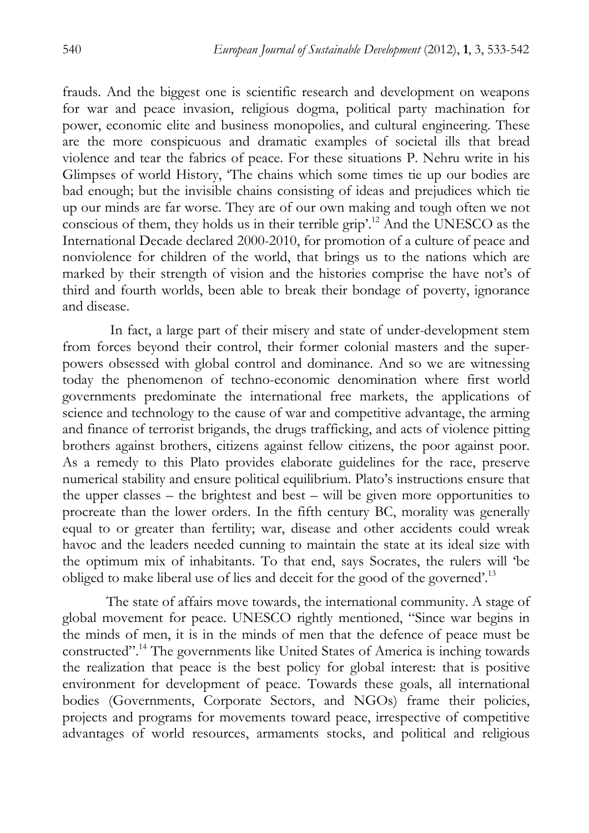frauds. And the biggest one is scientific research and development on weapons for war and peace invasion, religious dogma, political party machination for power, economic elite and business monopolies, and cultural engineering. These are the more conspicuous and dramatic examples of societal ills that bread violence and tear the fabrics of peace. For these situations P. Nehru write in his Glimpses of world History, 'The chains which some times tie up our bodies are bad enough; but the invisible chains consisting of ideas and prejudices which tie up our minds are far worse. They are of our own making and tough often we not conscious of them, they holds us in their terrible grip'.12 And the UNESCO as the International Decade declared 2000-2010, for promotion of a culture of peace and nonviolence for children of the world, that brings us to the nations which are marked by their strength of vision and the histories comprise the have not's of third and fourth worlds, been able to break their bondage of poverty, ignorance and disease.

 In fact, a large part of their misery and state of under-development stem from forces beyond their control, their former colonial masters and the superpowers obsessed with global control and dominance. And so we are witnessing today the phenomenon of techno-economic denomination where first world governments predominate the international free markets, the applications of science and technology to the cause of war and competitive advantage, the arming and finance of terrorist brigands, the drugs trafficking, and acts of violence pitting brothers against brothers, citizens against fellow citizens, the poor against poor. As a remedy to this Plato provides elaborate guidelines for the race, preserve numerical stability and ensure political equilibrium. Plato's instructions ensure that the upper classes – the brightest and best – will be given more opportunities to procreate than the lower orders. In the fifth century BC, morality was generally equal to or greater than fertility; war, disease and other accidents could wreak havoc and the leaders needed cunning to maintain the state at its ideal size with the optimum mix of inhabitants. To that end, says Socrates, the rulers will 'be obliged to make liberal use of lies and deceit for the good of the governed'.<sup>13</sup>

The state of affairs move towards, the international community. A stage of global movement for peace. UNESCO rightly mentioned, "Since war begins in the minds of men, it is in the minds of men that the defence of peace must be constructed".14 The governments like United States of America is inching towards the realization that peace is the best policy for global interest: that is positive environment for development of peace. Towards these goals, all international bodies (Governments, Corporate Sectors, and NGOs) frame their policies, projects and programs for movements toward peace, irrespective of competitive advantages of world resources, armaments stocks, and political and religious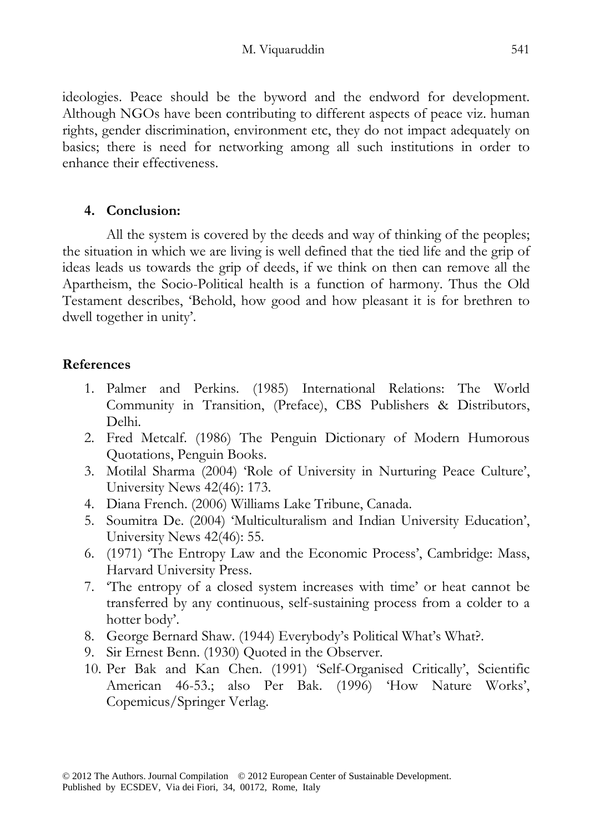ideologies. Peace should be the byword and the endword for development. Although NGOs have been contributing to different aspects of peace viz. human rights, gender discrimination, environment etc, they do not impact adequately on basics; there is need for networking among all such institutions in order to enhance their effectiveness.

# **4. Conclusion:**

All the system is covered by the deeds and way of thinking of the peoples; the situation in which we are living is well defined that the tied life and the grip of ideas leads us towards the grip of deeds, if we think on then can remove all the Apartheism, the Socio-Political health is a function of harmony. Thus the Old Testament describes, 'Behold, how good and how pleasant it is for brethren to dwell together in unity'.

# **References**

- 1. Palmer and Perkins. (1985) International Relations: The World Community in Transition, (Preface), CBS Publishers & Distributors, Delhi.
- 2. Fred Metcalf. (1986) The Penguin Dictionary of Modern Humorous Quotations, Penguin Books.
- 3. Motilal Sharma (2004) 'Role of University in Nurturing Peace Culture', University News 42(46): 173.
- 4. Diana French. (2006) Williams Lake Tribune, Canada.
- 5. Soumitra De. (2004) 'Multiculturalism and Indian University Education', University News 42(46): 55.
- 6. (1971) 'The Entropy Law and the Economic Process', Cambridge: Mass, Harvard University Press.
- 7. 'The entropy of a closed system increases with time' or heat cannot be transferred by any continuous, self-sustaining process from a colder to a hotter body'.
- 8. George Bernard Shaw. (1944) Everybody's Political What's What?.
- 9. Sir Ernest Benn. (1930) Quoted in the Observer.
- 10. Per Bak and Kan Chen. (1991) 'Self-Organised Critically', Scientific American 46-53.; also Per Bak. (1996) 'How Nature Works', Copemicus/Springer Verlag.